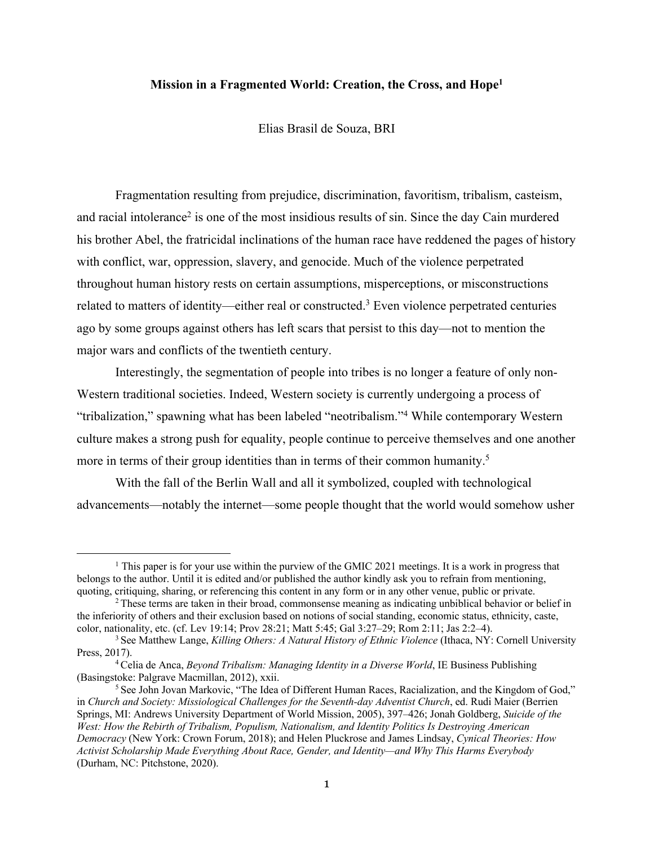### **Mission in a Fragmented World: Creation, the Cross, and Hope1**

Elias Brasil de Souza, BRI

Fragmentation resulting from prejudice, discrimination, favoritism, tribalism, casteism, and racial intolerance<sup>2</sup> is one of the most insidious results of sin. Since the day Cain murdered his brother Abel, the fratricidal inclinations of the human race have reddened the pages of history with conflict, war, oppression, slavery, and genocide. Much of the violence perpetrated throughout human history rests on certain assumptions, misperceptions, or misconstructions related to matters of identity—either real or constructed.3 Even violence perpetrated centuries ago by some groups against others has left scars that persist to this day—not to mention the major wars and conflicts of the twentieth century.

Interestingly, the segmentation of people into tribes is no longer a feature of only non-Western traditional societies. Indeed, Western society is currently undergoing a process of "tribalization," spawning what has been labeled "neotribalism."4 While contemporary Western culture makes a strong push for equality, people continue to perceive themselves and one another more in terms of their group identities than in terms of their common humanity.<sup>5</sup>

With the fall of the Berlin Wall and all it symbolized, coupled with technological advancements—notably the internet—some people thought that the world would somehow usher

<sup>&</sup>lt;sup>1</sup> This paper is for your use within the purview of the GMIC 2021 meetings. It is a work in progress that belongs to the author. Until it is edited and/or published the author kindly ask you to refrain from mentioning, quoting, critiquing, sharing, or referencing this content in any form or in any other venue, public or private.

 $2$  These terms are taken in their broad, commonsense meaning as indicating unbiblical behavior or belief in the inferiority of others and their exclusion based on notions of social standing, economic status, ethnicity, caste, color, nationality, etc. (cf. Lev 19:14; Prov 28:21; Matt 5:45; Gal 3:27–29; Rom 2:11; Jas 2:2–4).

<sup>3</sup> See Matthew Lange, *Killing Others: A Natural History of Ethnic Violence* (Ithaca, NY: Cornell University Press, 2017).

<sup>4</sup> Celia de Anca, *Beyond Tribalism: Managing Identity in a Diverse World*, IE Business Publishing (Basingstoke: Palgrave Macmillan, 2012), xxii.

<sup>&</sup>lt;sup>5</sup> See John Jovan Markovic, "The Idea of Different Human Races, Racialization, and the Kingdom of God," in *Church and Society: Missiological Challenges for the Seventh-day Adventist Church*, ed. Rudi Maier (Berrien Springs, MI: Andrews University Department of World Mission, 2005), 397–426; Jonah Goldberg, *Suicide of the West: How the Rebirth of Tribalism, Populism, Nationalism, and Identity Politics Is Destroying American Democracy* (New York: Crown Forum, 2018); and Helen Pluckrose and James Lindsay, *Cynical Theories: How Activist Scholarship Made Everything About Race, Gender, and Identity—and Why This Harms Everybody* (Durham, NC: Pitchstone, 2020).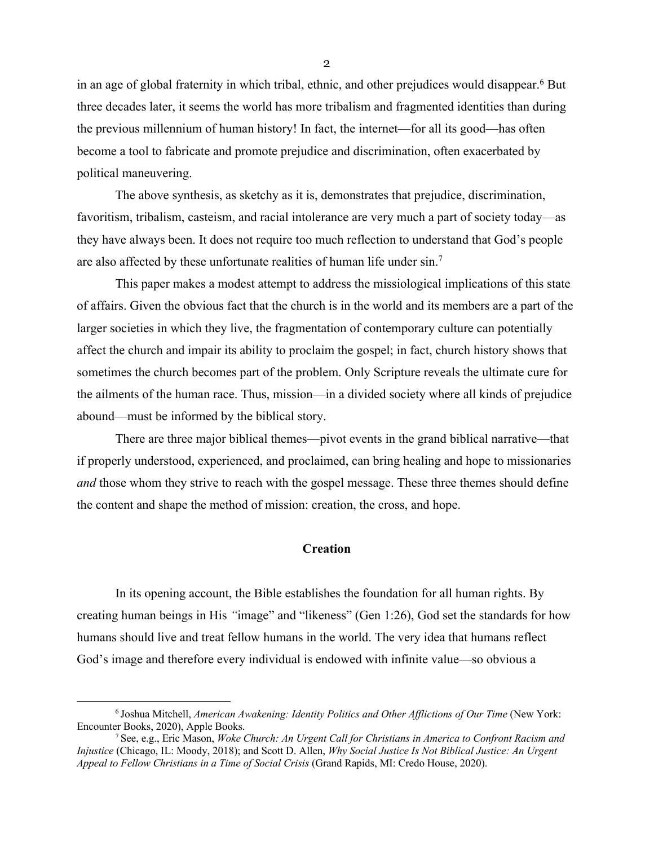in an age of global fraternity in which tribal, ethnic, and other prejudices would disappear.6 But three decades later, it seems the world has more tribalism and fragmented identities than during the previous millennium of human history! In fact, the internet—for all its good—has often become a tool to fabricate and promote prejudice and discrimination, often exacerbated by political maneuvering.

The above synthesis, as sketchy as it is, demonstrates that prejudice, discrimination, favoritism, tribalism, casteism, and racial intolerance are very much a part of society today—as they have always been. It does not require too much reflection to understand that God's people are also affected by these unfortunate realities of human life under sin.<sup>7</sup>

This paper makes a modest attempt to address the missiological implications of this state of affairs. Given the obvious fact that the church is in the world and its members are a part of the larger societies in which they live, the fragmentation of contemporary culture can potentially affect the church and impair its ability to proclaim the gospel; in fact, church history shows that sometimes the church becomes part of the problem. Only Scripture reveals the ultimate cure for the ailments of the human race. Thus, mission—in a divided society where all kinds of prejudice abound—must be informed by the biblical story.

There are three major biblical themes—pivot events in the grand biblical narrative—that if properly understood, experienced, and proclaimed, can bring healing and hope to missionaries *and* those whom they strive to reach with the gospel message. These three themes should define the content and shape the method of mission: creation, the cross, and hope.

## **Creation**

In its opening account, the Bible establishes the foundation for all human rights. By creating human beings in His *"*image" and "likeness" (Gen 1:26), God set the standards for how humans should live and treat fellow humans in the world. The very idea that humans reflect God's image and therefore every individual is endowed with infinite value—so obvious a

<sup>6</sup> Joshua Mitchell, *American Awakening: Identity Politics and Other Afflictions of Our Time* (New York: Encounter Books, 2020), Apple Books.

<sup>7</sup> See, e.g., Eric Mason, *Woke Church: An Urgent Call for Christians in America to Confront Racism and Injustice* (Chicago, IL: Moody, 2018); and Scott D. Allen, *Why Social Justice Is Not Biblical Justice: An Urgent Appeal to Fellow Christians in a Time of Social Crisis* (Grand Rapids, MI: Credo House, 2020).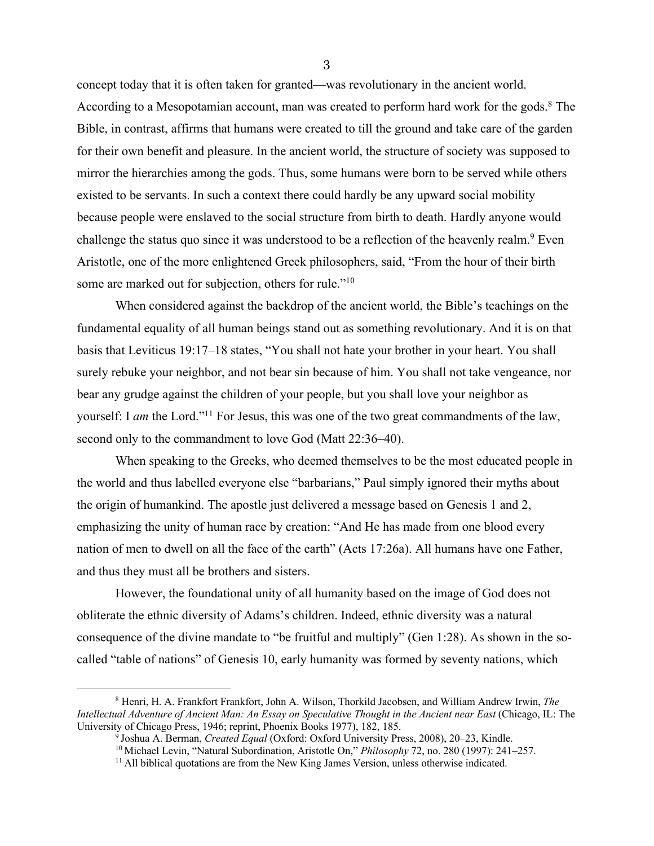concept today that it is often taken for granted—was revolutionary in the ancient world. According to a Mesopotamian account, man was created to perform hard work for the gods.<sup>8</sup> The Bible, in contrast, affirms that humans were created to till the ground and take care of the garden for their own benefit and pleasure. In the ancient world, the structure of society was supposed to mirror the hierarchies among the gods. Thus, some humans were born to be served while others existed to be servants. In such a context there could hardly be any upward social mobility because people were enslaved to the social structure from birth to death. Hardly anyone would challenge the status quo since it was understood to be a reflection of the heavenly realm.<sup>9</sup> Even Aristotle, one of the more enlightened Greek philosophers, said, "From the hour of their birth some are marked out for subjection, others for rule."<sup>10</sup>

When considered against the backdrop of the ancient world, the Bible's teachings on the fundamental equality of all human beings stand out as something revolutionary. And it is on that basis that Leviticus 19:17–18 states, "You shall not hate your brother in your heart. You shall surely rebuke your neighbor, and not bear sin because of him. You shall not take vengeance, nor bear any grudge against the children of your people, but you shall love your neighbor as yourself: I *am* the Lord."11 For Jesus, this was one of the two great commandments of the law, second only to the commandment to love God (Matt 22:36–40).

When speaking to the Greeks, who deemed themselves to be the most educated people in the world and thus labelled everyone else "barbarians," Paul simply ignored their myths about the origin of humankind. The apostle just delivered a message based on Genesis 1 and 2, emphasizing the unity of human race by creation: "And He has made from one blood every nation of men to dwell on all the face of the earth" (Acts 17:26a). All humans have one Father, and thus they must all be brothers and sisters.

However, the foundational unity of all humanity based on the image of God does not obliterate the ethnic diversity of Adams's children. Indeed, ethnic diversity was a natural consequence of the divine mandate to "be fruitful and multiply" (Gen 1:28). As shown in the socalled "table of nations" of Genesis 10, early humanity was formed by seventy nations, which

<sup>8</sup> Henri, H. A. Frankfort Frankfort, John A. Wilson, Thorkild Jacobsen, and William Andrew Irwin, *The Intellectual Adventure of Ancient Man: An Essay on Speculative Thought in the Ancient near East* (Chicago, IL: The University of Chicago Press, 1946; reprint, Phoenix Books 1977), 182, 185.

<sup>9</sup> Joshua A. Berman, *Created Equal* (Oxford: Oxford University Press, 2008), 20–23, Kindle.

<sup>10</sup> Michael Levin, "Natural Subordination, Aristotle On," *Philosophy* 72, no. 280 (1997): 241–257.

<sup>&</sup>lt;sup>11</sup> All biblical quotations are from the New King James Version, unless otherwise indicated.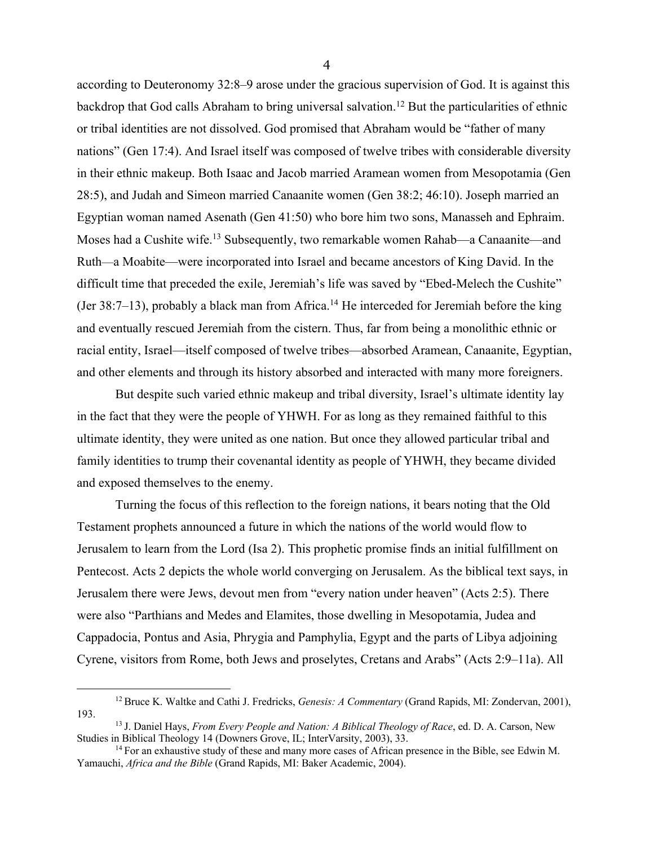according to Deuteronomy 32:8–9 arose under the gracious supervision of God. It is against this backdrop that God calls Abraham to bring universal salvation.<sup>12</sup> But the particularities of ethnic or tribal identities are not dissolved. God promised that Abraham would be "father of many nations" (Gen 17:4). And Israel itself was composed of twelve tribes with considerable diversity in their ethnic makeup. Both Isaac and Jacob married Aramean women from Mesopotamia (Gen 28:5), and Judah and Simeon married Canaanite women (Gen 38:2; 46:10). Joseph married an Egyptian woman named Asenath (Gen 41:50) who bore him two sons, Manasseh and Ephraim. Moses had a Cushite wife.13 Subsequently, two remarkable women Rahab—a Canaanite—and Ruth—a Moabite—were incorporated into Israel and became ancestors of King David. In the difficult time that preceded the exile, Jeremiah's life was saved by "Ebed-Melech the Cushite" (Jer 38:7–13), probably a black man from Africa.<sup>14</sup> He interceded for Jeremiah before the king and eventually rescued Jeremiah from the cistern. Thus, far from being a monolithic ethnic or racial entity, Israel—itself composed of twelve tribes—absorbed Aramean, Canaanite, Egyptian, and other elements and through its history absorbed and interacted with many more foreigners.

But despite such varied ethnic makeup and tribal diversity, Israel's ultimate identity lay in the fact that they were the people of YHWH. For as long as they remained faithful to this ultimate identity, they were united as one nation. But once they allowed particular tribal and family identities to trump their covenantal identity as people of YHWH, they became divided and exposed themselves to the enemy.

Turning the focus of this reflection to the foreign nations, it bears noting that the Old Testament prophets announced a future in which the nations of the world would flow to Jerusalem to learn from the Lord (Isa 2). This prophetic promise finds an initial fulfillment on Pentecost. Acts 2 depicts the whole world converging on Jerusalem. As the biblical text says, in Jerusalem there were Jews, devout men from "every nation under heaven" (Acts 2:5). There were also "Parthians and Medes and Elamites, those dwelling in Mesopotamia, Judea and Cappadocia, Pontus and Asia, Phrygia and Pamphylia, Egypt and the parts of Libya adjoining Cyrene, visitors from Rome, both Jews and proselytes, Cretans and Arabs" (Acts 2:9–11a). All

<sup>12</sup> Bruce K. Waltke and Cathi J. Fredricks, *Genesis: A Commentary* (Grand Rapids, MI: Zondervan, 2001), 193.

<sup>13</sup> J. Daniel Hays, *From Every People and Nation: A Biblical Theology of Race*, ed. D. A. Carson, New Studies in Biblical Theology 14 (Downers Grove, IL; InterVarsity, 2003), 33.

<sup>&</sup>lt;sup>14</sup> For an exhaustive study of these and many more cases of African presence in the Bible, see Edwin M. Yamauchi, *Africa and the Bible* (Grand Rapids, MI: Baker Academic, 2004).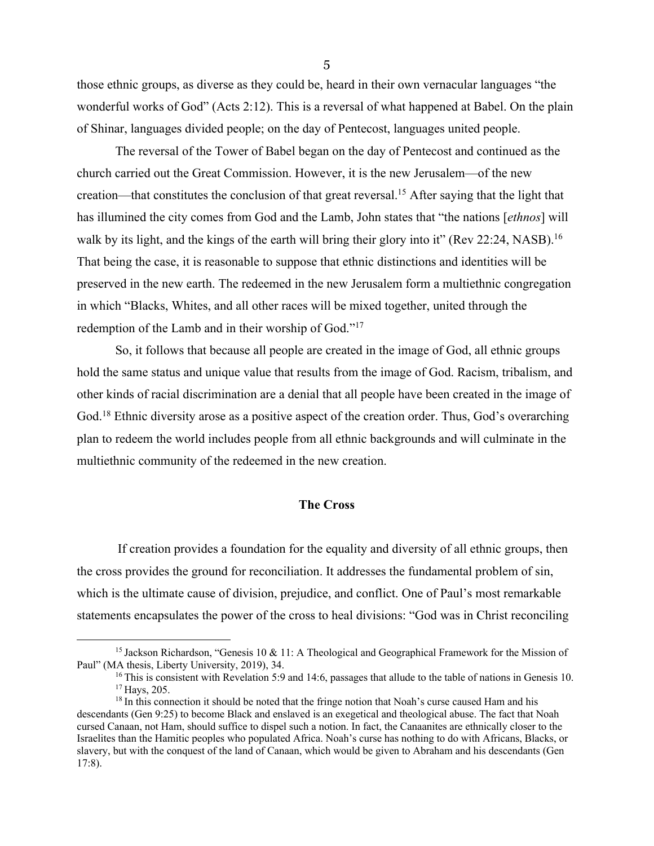those ethnic groups, as diverse as they could be, heard in their own vernacular languages "the wonderful works of God" (Acts 2:12). This is a reversal of what happened at Babel. On the plain of Shinar, languages divided people; on the day of Pentecost, languages united people.

The reversal of the Tower of Babel began on the day of Pentecost and continued as the church carried out the Great Commission. However, it is the new Jerusalem—of the new creation—that constitutes the conclusion of that great reversal.15 After saying that the light that has illumined the city comes from God and the Lamb, John states that "the nations [*ethnos*] will walk by its light, and the kings of the earth will bring their glory into it" (Rev 22:24, NASB).<sup>16</sup> That being the case, it is reasonable to suppose that ethnic distinctions and identities will be preserved in the new earth. The redeemed in the new Jerusalem form a multiethnic congregation in which "Blacks, Whites, and all other races will be mixed together, united through the redemption of the Lamb and in their worship of God."17

So, it follows that because all people are created in the image of God, all ethnic groups hold the same status and unique value that results from the image of God. Racism, tribalism, and other kinds of racial discrimination are a denial that all people have been created in the image of God.<sup>18</sup> Ethnic diversity arose as a positive aspect of the creation order. Thus, God's overarching plan to redeem the world includes people from all ethnic backgrounds and will culminate in the multiethnic community of the redeemed in the new creation.

#### **The Cross**

If creation provides a foundation for the equality and diversity of all ethnic groups, then the cross provides the ground for reconciliation. It addresses the fundamental problem of sin, which is the ultimate cause of division, prejudice, and conflict. One of Paul's most remarkable statements encapsulates the power of the cross to heal divisions: "God was in Christ reconciling

<sup>&</sup>lt;sup>15</sup> Jackson Richardson, "Genesis 10 & 11: A Theological and Geographical Framework for the Mission of Paul" (MA thesis, Liberty University, 2019), 34.

<sup>&</sup>lt;sup>16</sup> This is consistent with Revelation 5:9 and 14:6, passages that allude to the table of nations in Genesis 10. <sup>17</sup> Hays, 205.

<sup>&</sup>lt;sup>18</sup> In this connection it should be noted that the fringe notion that Noah's curse caused Ham and his descendants (Gen 9:25) to become Black and enslaved is an exegetical and theological abuse. The fact that Noah cursed Canaan, not Ham, should suffice to dispel such a notion. In fact, the Canaanites are ethnically closer to the Israelites than the Hamitic peoples who populated Africa. Noah's curse has nothing to do with Africans, Blacks, or slavery, but with the conquest of the land of Canaan, which would be given to Abraham and his descendants (Gen 17:8).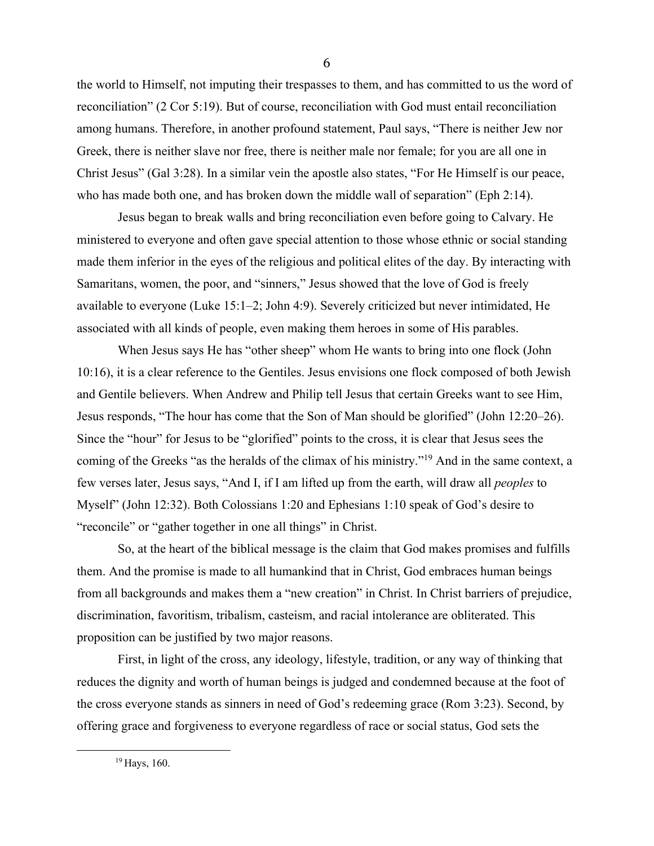the world to Himself, not imputing their trespasses to them, and has committed to us the word of reconciliation" (2 Cor 5:19). But of course, reconciliation with God must entail reconciliation among humans. Therefore, in another profound statement, Paul says, "There is neither Jew nor Greek, there is neither slave nor free, there is neither male nor female; for you are all one in Christ Jesus" (Gal 3:28). In a similar vein the apostle also states, "For He Himself is our peace, who has made both one, and has broken down the middle wall of separation" (Eph 2:14).

Jesus began to break walls and bring reconciliation even before going to Calvary. He ministered to everyone and often gave special attention to those whose ethnic or social standing made them inferior in the eyes of the religious and political elites of the day. By interacting with Samaritans, women, the poor, and "sinners," Jesus showed that the love of God is freely available to everyone (Luke 15:1–2; John 4:9). Severely criticized but never intimidated, He associated with all kinds of people, even making them heroes in some of His parables.

When Jesus says He has "other sheep" whom He wants to bring into one flock (John 10:16), it is a clear reference to the Gentiles. Jesus envisions one flock composed of both Jewish and Gentile believers. When Andrew and Philip tell Jesus that certain Greeks want to see Him, Jesus responds, "The hour has come that the Son of Man should be glorified" (John 12:20–26). Since the "hour" for Jesus to be "glorified" points to the cross, it is clear that Jesus sees the coming of the Greeks "as the heralds of the climax of his ministry."19 And in the same context, a few verses later, Jesus says, "And I, if I am lifted up from the earth, will draw all *peoples* to Myself" (John 12:32). Both Colossians 1:20 and Ephesians 1:10 speak of God's desire to "reconcile" or "gather together in one all things" in Christ.

So, at the heart of the biblical message is the claim that God makes promises and fulfills them. And the promise is made to all humankind that in Christ, God embraces human beings from all backgrounds and makes them a "new creation" in Christ. In Christ barriers of prejudice, discrimination, favoritism, tribalism, casteism, and racial intolerance are obliterated. This proposition can be justified by two major reasons.

First, in light of the cross, any ideology, lifestyle, tradition, or any way of thinking that reduces the dignity and worth of human beings is judged and condemned because at the foot of the cross everyone stands as sinners in need of God's redeeming grace (Rom 3:23). Second, by offering grace and forgiveness to everyone regardless of race or social status, God sets the

<sup>19</sup> Hays, 160.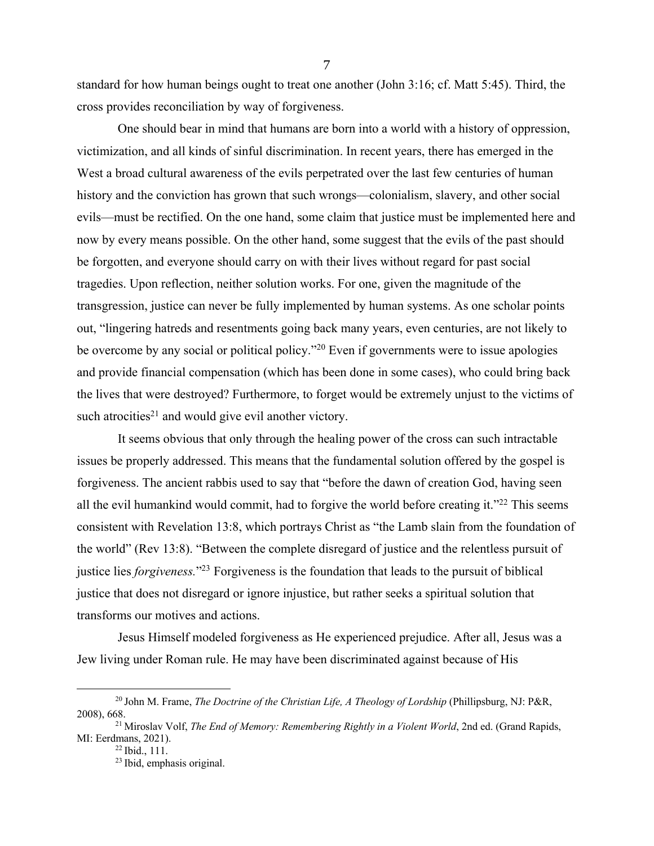standard for how human beings ought to treat one another (John 3:16; cf. Matt 5:45). Third, the cross provides reconciliation by way of forgiveness.

One should bear in mind that humans are born into a world with a history of oppression, victimization, and all kinds of sinful discrimination. In recent years, there has emerged in the West a broad cultural awareness of the evils perpetrated over the last few centuries of human history and the conviction has grown that such wrongs—colonialism, slavery, and other social evils—must be rectified. On the one hand, some claim that justice must be implemented here and now by every means possible. On the other hand, some suggest that the evils of the past should be forgotten, and everyone should carry on with their lives without regard for past social tragedies. Upon reflection, neither solution works. For one, given the magnitude of the transgression, justice can never be fully implemented by human systems. As one scholar points out, "lingering hatreds and resentments going back many years, even centuries, are not likely to be overcome by any social or political policy."<sup>20</sup> Even if governments were to issue apologies and provide financial compensation (which has been done in some cases), who could bring back the lives that were destroyed? Furthermore, to forget would be extremely unjust to the victims of such atrocities<sup>21</sup> and would give evil another victory.

It seems obvious that only through the healing power of the cross can such intractable issues be properly addressed. This means that the fundamental solution offered by the gospel is forgiveness. The ancient rabbis used to say that "before the dawn of creation God, having seen all the evil humankind would commit, had to forgive the world before creating it." $^{22}$  This seems consistent with Revelation 13:8, which portrays Christ as "the Lamb slain from the foundation of the world" (Rev 13:8). "Between the complete disregard of justice and the relentless pursuit of justice lies *forgiveness.*"23 Forgiveness is the foundation that leads to the pursuit of biblical justice that does not disregard or ignore injustice, but rather seeks a spiritual solution that transforms our motives and actions.

Jesus Himself modeled forgiveness as He experienced prejudice. After all, Jesus was a Jew living under Roman rule. He may have been discriminated against because of His

<sup>&</sup>lt;sup>20</sup> John M. Frame, *The Doctrine of the Christian Life, A Theology of Lordship* (Phillipsburg, NJ: P&R, 2008), 668.

<sup>&</sup>lt;sup>21</sup> Miroslav Volf, *The End of Memory: Remembering Rightly in a Violent World*, 2nd ed. (Grand Rapids, MI: Eerdmans, 2021).

 $^{22}$  Ibid., 111.

<sup>23</sup> Ibid, emphasis original.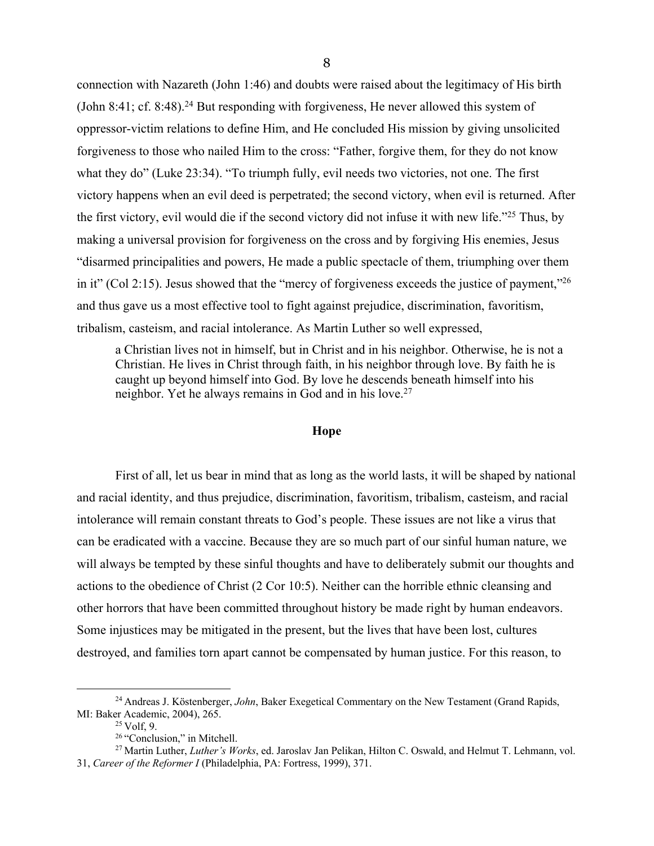connection with Nazareth (John 1:46) and doubts were raised about the legitimacy of His birth (John 8:41; cf. 8:48).<sup>24</sup> But responding with forgiveness, He never allowed this system of oppressor-victim relations to define Him, and He concluded His mission by giving unsolicited forgiveness to those who nailed Him to the cross: "Father, forgive them, for they do not know what they do" (Luke 23:34). "To triumph fully, evil needs two victories, not one. The first victory happens when an evil deed is perpetrated; the second victory, when evil is returned. After the first victory, evil would die if the second victory did not infuse it with new life."25 Thus, by making a universal provision for forgiveness on the cross and by forgiving His enemies, Jesus "disarmed principalities and powers, He made a public spectacle of them, triumphing over them in it" (Col 2:15). Jesus showed that the "mercy of forgiveness exceeds the justice of payment,"26 and thus gave us a most effective tool to fight against prejudice, discrimination, favoritism, tribalism, casteism, and racial intolerance. As Martin Luther so well expressed,

a Christian lives not in himself, but in Christ and in his neighbor. Otherwise, he is not a Christian. He lives in Christ through faith, in his neighbor through love. By faith he is caught up beyond himself into God. By love he descends beneath himself into his neighbor. Yet he always remains in God and in his love.<sup>27</sup>

### **Hope**

First of all, let us bear in mind that as long as the world lasts, it will be shaped by national and racial identity, and thus prejudice, discrimination, favoritism, tribalism, casteism, and racial intolerance will remain constant threats to God's people. These issues are not like a virus that can be eradicated with a vaccine. Because they are so much part of our sinful human nature, we will always be tempted by these sinful thoughts and have to deliberately submit our thoughts and actions to the obedience of Christ (2 Cor 10:5). Neither can the horrible ethnic cleansing and other horrors that have been committed throughout history be made right by human endeavors. Some injustices may be mitigated in the present, but the lives that have been lost, cultures destroyed, and families torn apart cannot be compensated by human justice. For this reason, to

<sup>24</sup> Andreas J. Köstenberger, *John*, Baker Exegetical Commentary on the New Testament (Grand Rapids, MI: Baker Academic, 2004), 265.

 $25$  Volf, 9.

<sup>26</sup> "Conclusion," in Mitchell.

<sup>27</sup> Martin Luther, *Luther's Works*, ed. Jaroslav Jan Pelikan, Hilton C. Oswald, and Helmut T. Lehmann, vol. 31, *Career of the Reformer I* (Philadelphia, PA: Fortress, 1999), 371.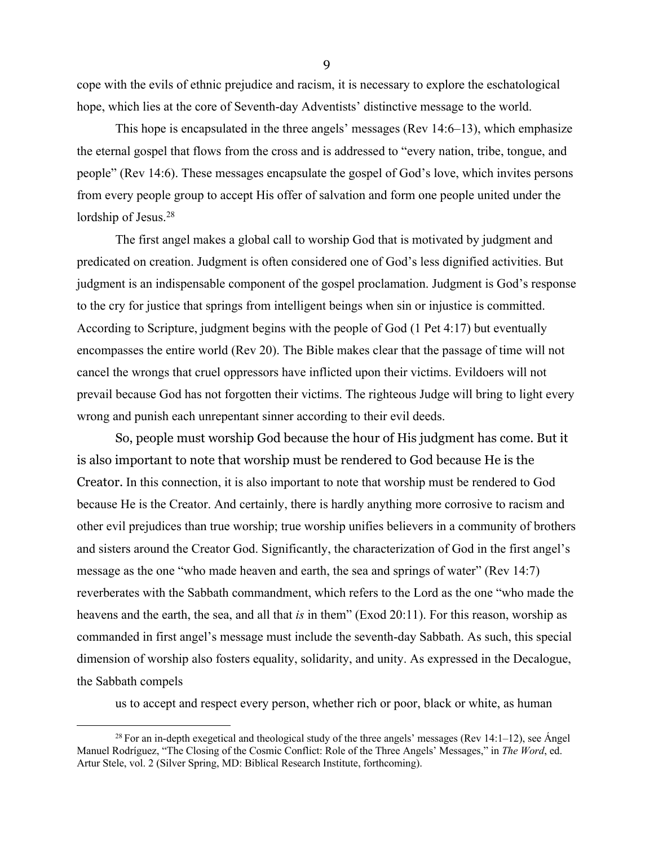cope with the evils of ethnic prejudice and racism, it is necessary to explore the eschatological hope, which lies at the core of Seventh-day Adventists' distinctive message to the world.

This hope is encapsulated in the three angels' messages (Rev 14:6–13), which emphasize the eternal gospel that flows from the cross and is addressed to "every nation, tribe, tongue, and people" (Rev 14:6). These messages encapsulate the gospel of God's love, which invites persons from every people group to accept His offer of salvation and form one people united under the lordship of Jesus.<sup>28</sup>

The first angel makes a global call to worship God that is motivated by judgment and predicated on creation. Judgment is often considered one of God's less dignified activities. But judgment is an indispensable component of the gospel proclamation. Judgment is God's response to the cry for justice that springs from intelligent beings when sin or injustice is committed. According to Scripture, judgment begins with the people of God (1 Pet 4:17) but eventually encompasses the entire world (Rev 20). The Bible makes clear that the passage of time will not cancel the wrongs that cruel oppressors have inflicted upon their victims. Evildoers will not prevail because God has not forgotten their victims. The righteous Judge will bring to light every wrong and punish each unrepentant sinner according to their evil deeds.

So, people must worship God because the hour of His judgment has come. But it is also important to note that worship must be rendered to God because He is the Creator. In this connection, it is also important to note that worship must be rendered to God because He is the Creator. And certainly, there is hardly anything more corrosive to racism and other evil prejudices than true worship; true worship unifies believers in a community of brothers and sisters around the Creator God. Significantly, the characterization of God in the first angel's message as the one "who made heaven and earth, the sea and springs of water" (Rev 14:7) reverberates with the Sabbath commandment, which refers to the Lord as the one "who made the heavens and the earth, the sea, and all that *is* in them" (Exod 20:11). For this reason, worship as commanded in first angel's message must include the seventh-day Sabbath. As such, this special dimension of worship also fosters equality, solidarity, and unity. As expressed in the Decalogue, the Sabbath compels

us to accept and respect every person, whether rich or poor, black or white, as human

<sup>&</sup>lt;sup>28</sup> For an in-depth exegetical and theological study of the three angels' messages (Rev 14:1–12), see Ángel Manuel Rodríguez, "The Closing of the Cosmic Conflict: Role of the Three Angels' Messages," in *The Word*, ed. Artur Stele, vol. 2 (Silver Spring, MD: Biblical Research Institute, forthcoming).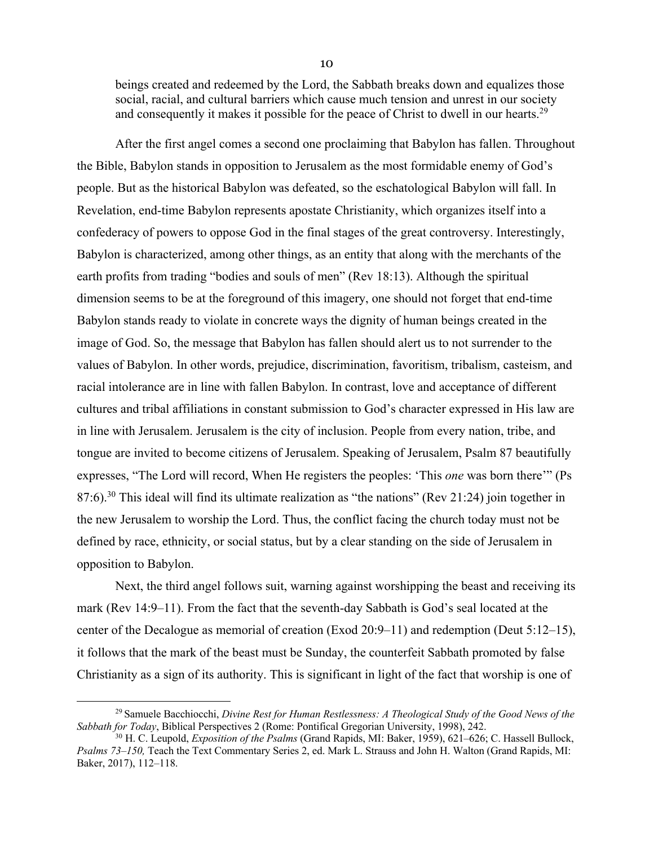beings created and redeemed by the Lord, the Sabbath breaks down and equalizes those social, racial, and cultural barriers which cause much tension and unrest in our society and consequently it makes it possible for the peace of Christ to dwell in our hearts.<sup>29</sup>

After the first angel comes a second one proclaiming that Babylon has fallen. Throughout the Bible, Babylon stands in opposition to Jerusalem as the most formidable enemy of God's people. But as the historical Babylon was defeated, so the eschatological Babylon will fall. In Revelation, end-time Babylon represents apostate Christianity, which organizes itself into a confederacy of powers to oppose God in the final stages of the great controversy. Interestingly, Babylon is characterized, among other things, as an entity that along with the merchants of the earth profits from trading "bodies and souls of men" (Rev 18:13). Although the spiritual dimension seems to be at the foreground of this imagery, one should not forget that end-time Babylon stands ready to violate in concrete ways the dignity of human beings created in the image of God. So, the message that Babylon has fallen should alert us to not surrender to the values of Babylon. In other words, prejudice, discrimination, favoritism, tribalism, casteism, and racial intolerance are in line with fallen Babylon. In contrast, love and acceptance of different cultures and tribal affiliations in constant submission to God's character expressed in His law are in line with Jerusalem. Jerusalem is the city of inclusion. People from every nation, tribe, and tongue are invited to become citizens of Jerusalem. Speaking of Jerusalem, Psalm 87 beautifully expresses, "The Lord will record, When He registers the peoples: 'This *one* was born there'" (Ps 87:6).<sup>30</sup> This ideal will find its ultimate realization as "the nations" (Rev 21:24) join together in the new Jerusalem to worship the Lord. Thus, the conflict facing the church today must not be defined by race, ethnicity, or social status, but by a clear standing on the side of Jerusalem in opposition to Babylon.

Next, the third angel follows suit, warning against worshipping the beast and receiving its mark (Rev 14:9–11). From the fact that the seventh-day Sabbath is God's seal located at the center of the Decalogue as memorial of creation (Exod 20:9–11) and redemption (Deut 5:12–15), it follows that the mark of the beast must be Sunday, the counterfeit Sabbath promoted by false Christianity as a sign of its authority. This is significant in light of the fact that worship is one of

<sup>29</sup> Samuele Bacchiocchi, *Divine Rest for Human Restlessness: A Theological Study of the Good News of the Sabbath for Today*, Biblical Perspectives 2 (Rome: Pontifical Gregorian University, 1998), 242.

<sup>30</sup> H. C. Leupold, *Exposition of the Psalms* (Grand Rapids, MI: Baker, 1959), 621–626; C. Hassell Bullock, *Psalms 73–150,* Teach the Text Commentary Series 2, ed. Mark L. Strauss and John H. Walton (Grand Rapids, MI: Baker, 2017), 112–118.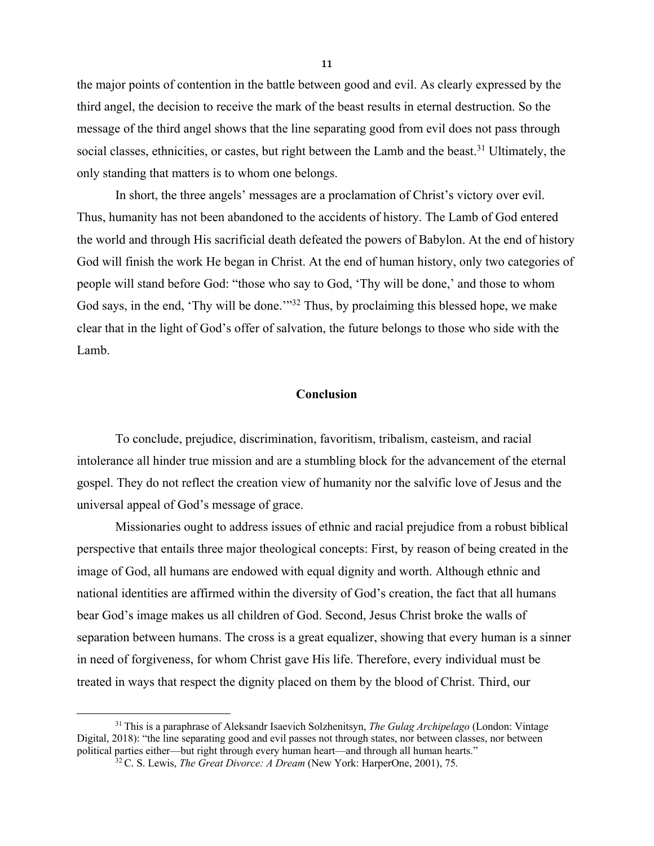the major points of contention in the battle between good and evil. As clearly expressed by the third angel, the decision to receive the mark of the beast results in eternal destruction. So the message of the third angel shows that the line separating good from evil does not pass through social classes, ethnicities, or castes, but right between the Lamb and the beast.<sup>31</sup> Ultimately, the only standing that matters is to whom one belongs.

In short, the three angels' messages are a proclamation of Christ's victory over evil. Thus, humanity has not been abandoned to the accidents of history. The Lamb of God entered the world and through His sacrificial death defeated the powers of Babylon. At the end of history God will finish the work He began in Christ. At the end of human history, only two categories of people will stand before God: "those who say to God, 'Thy will be done,' and those to whom God says, in the end, 'Thy will be done.'<sup>32</sup> Thus, by proclaiming this blessed hope, we make clear that in the light of God's offer of salvation, the future belongs to those who side with the Lamb.

# **Conclusion**

To conclude, prejudice, discrimination, favoritism, tribalism, casteism, and racial intolerance all hinder true mission and are a stumbling block for the advancement of the eternal gospel. They do not reflect the creation view of humanity nor the salvific love of Jesus and the universal appeal of God's message of grace.

Missionaries ought to address issues of ethnic and racial prejudice from a robust biblical perspective that entails three major theological concepts: First, by reason of being created in the image of God, all humans are endowed with equal dignity and worth. Although ethnic and national identities are affirmed within the diversity of God's creation, the fact that all humans bear God's image makes us all children of God. Second, Jesus Christ broke the walls of separation between humans. The cross is a great equalizer, showing that every human is a sinner in need of forgiveness, for whom Christ gave His life. Therefore, every individual must be treated in ways that respect the dignity placed on them by the blood of Christ. Third, our

<sup>31</sup> This is a paraphrase of Aleksandr Isaevich Solzhenitsyn, *The Gulag Archipelago* (London: Vintage Digital, 2018): "the line separating good and evil passes not through states, nor between classes, nor between political parties either—but right through every human heart—and through all human hearts."

<sup>32</sup> C. S. Lewis, *The Great Divorce: A Dream* (New York: HarperOne, 2001), 75.